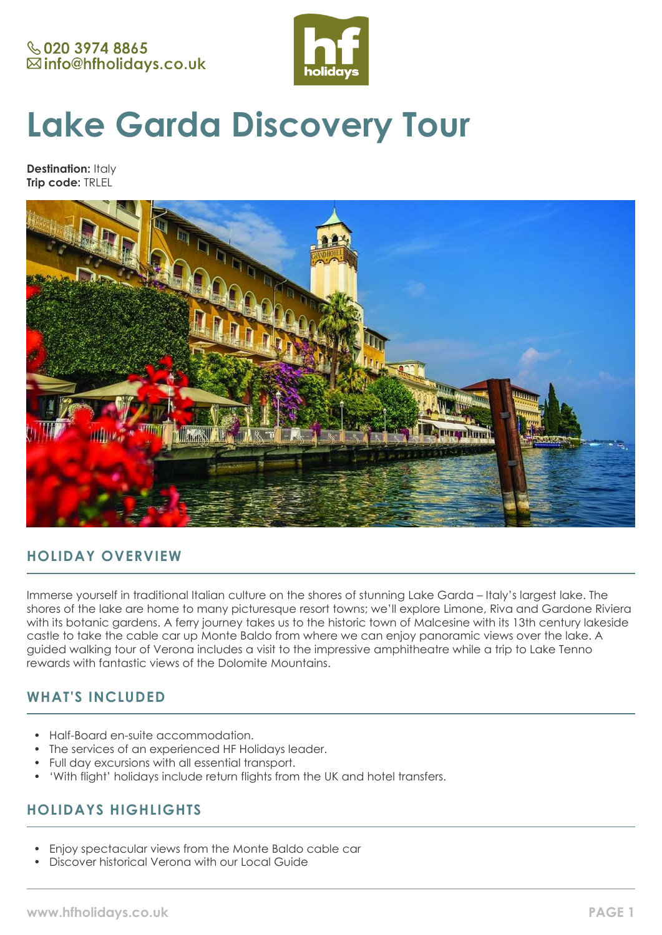

# **Lake Garda Discovery Tour**

**Destination:** Italy **Trip code:** TRLEL



## **HOLIDAY OVERVIEW**

Immerse yourself in traditional Italian culture on the shores of stunning Lake Garda – Italy's largest lake. The shores of the lake are home to many picturesque resort towns; we'll explore Limone, Riva and Gardone Riviera with its botanic gardens. A ferry journey takes us to the historic town of Malcesine with its 13th century lakeside castle to take the cable car up Monte Baldo from where we can enjoy panoramic views over the lake. A guided walking tour of Verona includes a visit to the impressive amphitheatre while a trip to Lake Tenno rewards with fantastic views of the Dolomite Mountains.

# **WHAT'S INCLUDED**

- Half-Board en-suite accommodation.
- The services of an experienced HF Holidays leader.
- Full day excursions with all essential transport.
- 'With flight' holidays include return flights from the UK and hotel transfers.

# **HOLIDAYS HIGHLIGHTS**

- Enjoy spectacular views from the Monte Baldo cable car
- Discover historical Verona with our Local Guide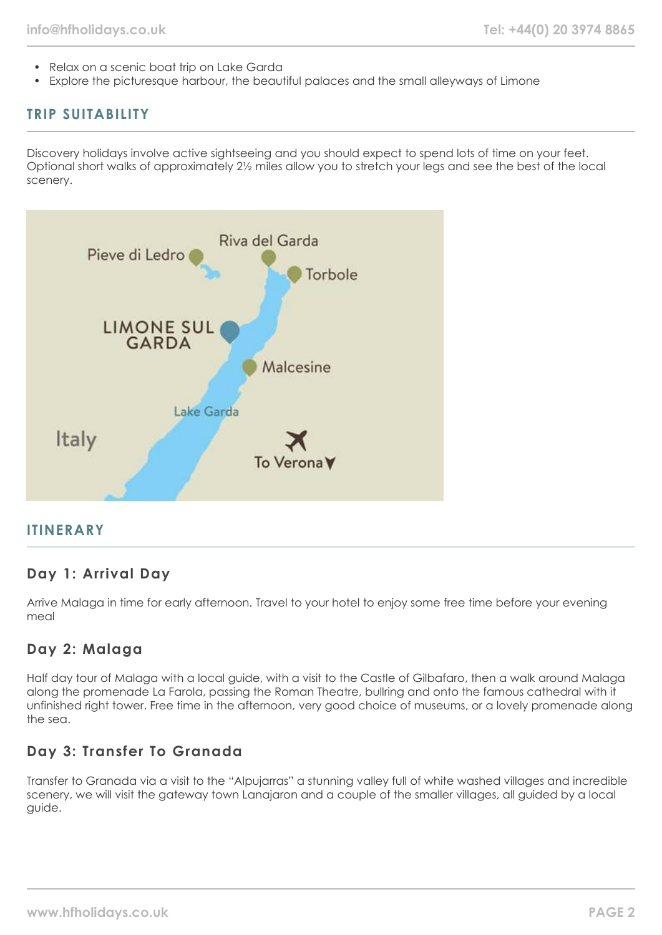- Relax on a scenic boat trip on Lake Garda
- Explore the picturesque harbour, the beautiful palaces and the small alleyways of Limone

# **TRIP SUITABILITY**

Discovery holidays involve active sightseeing and you should expect to spend lots of time on your feet. Optional short walks of approximately 2½ miles allow you to stretch your legs and see the best of the local scenery.



## **ITINERARY**

## **Day 1: Arrival Day**

Arrive Malaga in time for early afternoon. Travel to your hotel to enjoy some free time before your evening meal

#### **Day 2: Malaga**

Half day tour of Malaga with a local guide, with a visit to the Castle of Gilbafaro, then a walk around Malaga along the promenade La Farola, passing the Roman Theatre, bullring and onto the famous cathedral with it unfinished right tower. Free time in the afternoon, very good choice of museums, or a lovely promenade along the sea.

# **Day 3: Transfer To Granada**

Transfer to Granada via a visit to the "Alpujarras" a stunning valley full of white washed villages and incredible scenery, we will visit the gateway town Lanajaron and a couple of the smaller villages, all guided by a local guide.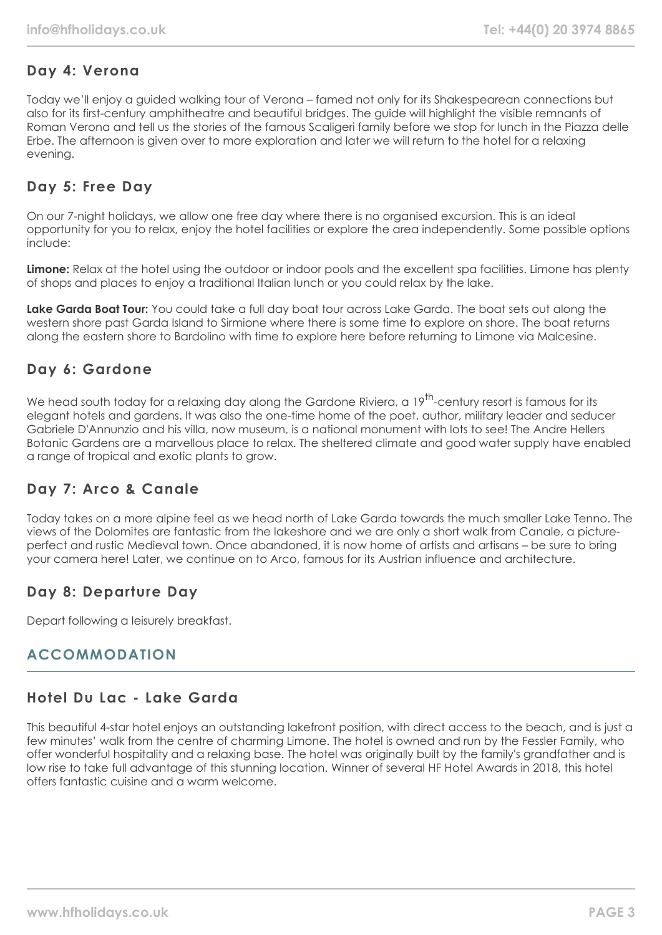# **Day 4: Verona**

Today we'll enjoy a guided walking tour of Verona – famed not only for its Shakespearean connections but also for its first-century amphitheatre and beautiful bridges. The guide will highlight the visible remnants of Roman Verona and tell us the stories of the famous Scaligeri family before we stop for lunch in the Piazza delle Erbe. The afternoon is given over to more exploration and later we will return to the hotel for a relaxing evening.

# **Day 5: Free Day**

On our 7-night holidays, we allow one free day where there is no organised excursion. This is an ideal opportunity for you to relax, enjoy the hotel facilities or explore the area independently. Some possible options include:

**Limone:** Relax at the hotel using the outdoor or indoor pools and the excellent spa facilities. Limone has plenty of shops and places to enjoy a traditional Italian lunch or you could relax by the lake.

**Lake Garda Boat Tour:** You could take a full day boat tour across Lake Garda. The boat sets out along the western shore past Garda Island to Sirmione where there is some time to explore on shore. The boat returns along the eastern shore to Bardolino with time to explore here before returning to Limone via Malcesine.

# **Day 6: Gardone**

We head south today for a relaxing day along the Gardone Riviera, a  $19^{th}$ -century resort is famous for its elegant hotels and gardens. It was also the one-time home of the poet, author, military leader and seducer Gabriele D'Annunzio and his villa, now museum, is a national monument with lots to see! The Andre Hellers Botanic Gardens are a marvellous place to relax. The sheltered climate and good water supply have enabled a range of tropical and exotic plants to grow.

# **Day 7: Arco & Canale**

Today takes on a more alpine feel as we head north of Lake Garda towards the much smaller Lake Tenno. The views of the Dolomites are fantastic from the lakeshore and we are only a short walk from Canale, a pictureperfect and rustic Medieval town. Once abandoned, it is now home of artists and artisans – be sure to bring your camera here! Later, we continue on to Arco, famous for its Austrian influence and architecture.

# **Day 8: Departure Day**

Depart following a leisurely breakfast.

# **ACCOMMODATION**

#### **Hotel Du Lac - Lake Garda**

This beautiful 4-star hotel enjoys an outstanding lakefront position, with direct access to the beach, and is just a few minutes' walk from the centre of charming Limone. The hotel is owned and run by the Fessler Family, who offer wonderful hospitality and a relaxing base. The hotel was originally built by the family's grandfather and is low rise to take full advantage of this stunning location. Winner of several HF Hotel Awards in 2018, this hotel offers fantastic cuisine and a warm welcome.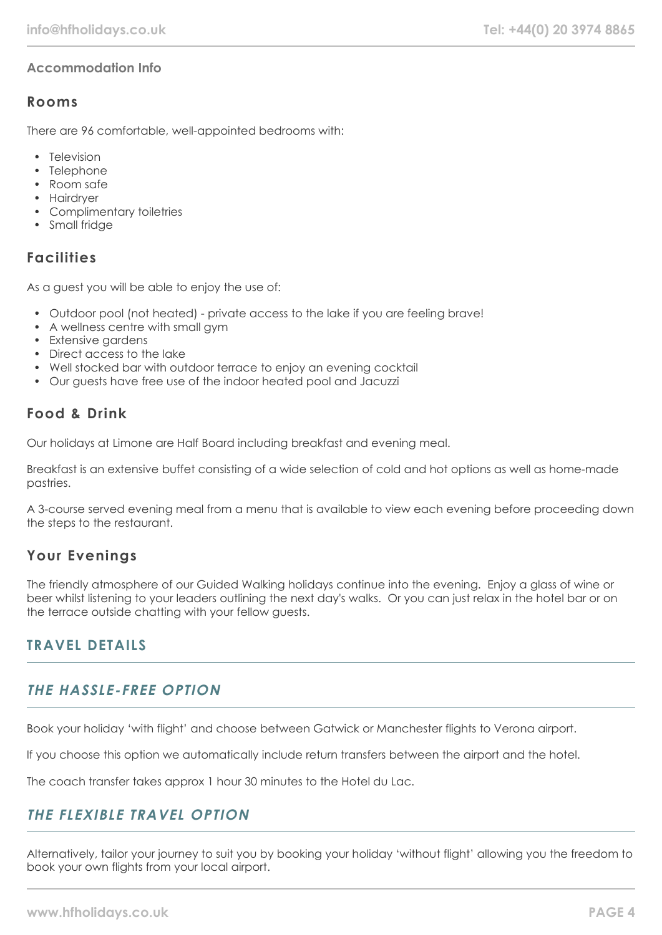## **Accommodation Info**

## **Rooms**

There are 96 comfortable, well-appointed bedrooms with:

- Television
- Telephone
- Room safe
- Hairdryer
- Complimentary toiletries
- Small fridge

# **Facilities**

As a guest you will be able to enjoy the use of:

- Outdoor pool (not heated) private access to the lake if you are feeling brave!
- A wellness centre with small gym
- Extensive gardens
- Direct access to the lake
- Well stocked bar with outdoor terrace to enjoy an evening cocktail
- Our guests have free use of the indoor heated pool and Jacuzzi

## **Food & Drink**

Our holidays at Limone are Half Board including breakfast and evening meal.

Breakfast is an extensive buffet consisting of a wide selection of cold and hot options as well as home-made pastries.

A 3-course served evening meal from a menu that is available to view each evening before proceeding down the steps to the restaurant.

# **Your Evenings**

The friendly atmosphere of our Guided Walking holidays continue into the evening. Enjoy a glass of wine or beer whilst listening to your leaders outlining the next day's walks. Or you can just relax in the hotel bar or on the terrace outside chatting with your fellow guests.

## **TRAVEL DETAILS**

## **THE HASSLE-FREE OPTION**

Book your holiday 'with flight' and choose between Gatwick or Manchester flights to Verona airport.

If you choose this option we automatically include return transfers between the airport and the hotel.

The coach transfer takes approx 1 hour 30 minutes to the Hotel du Lac.

# **THE FLEXIBLE TRAVEL OPTION**

Alternatively, tailor your journey to suit you by booking your holiday 'without flight' allowing you the freedom to book your own flights from your local airport.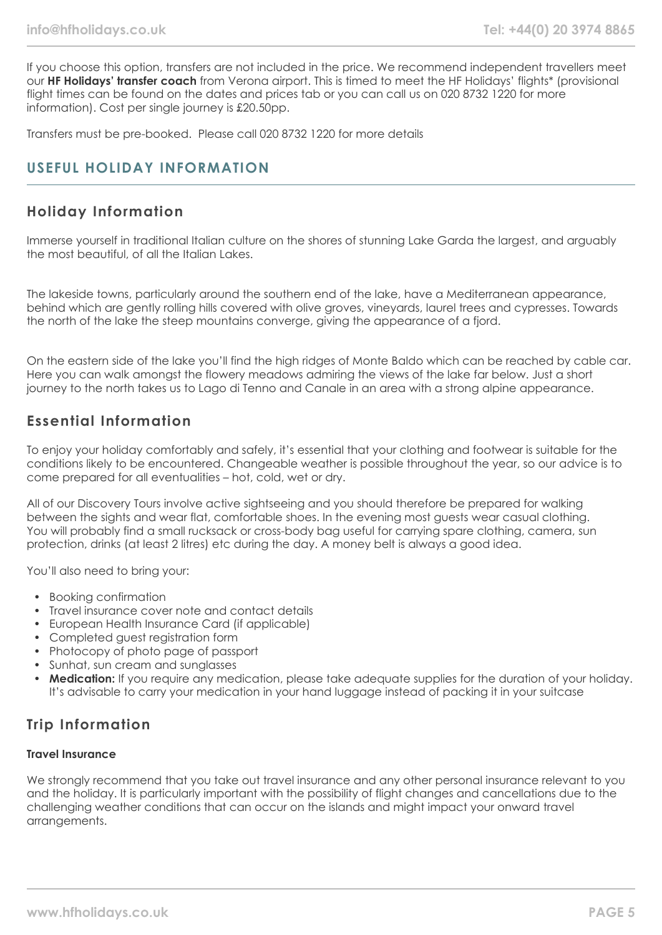If you choose this option, transfers are not included in the price. We recommend independent travellers meet our **HF Holidays' transfer coach** from Verona airport. This is timed to meet the HF Holidays' flights\* (provisional flight times can be found on the dates and prices tab or you can call us on 020 8732 1220 for more information). Cost per single journey is £20.50pp.

Transfers must be pre-booked. Please call 020 8732 1220 for more details

## **USEFUL HOLIDAY INFORMATION**

## **Holiday Information**

Immerse yourself in traditional Italian culture on the shores of stunning Lake Garda the largest, and arguably the most beautiful, of all the Italian Lakes.

The lakeside towns, particularly around the southern end of the lake, have a Mediterranean appearance, behind which are gently rolling hills covered with olive groves, vineyards, laurel trees and cypresses. Towards the north of the lake the steep mountains converge, giving the appearance of a fjord.

On the eastern side of the lake you'll find the high ridges of Monte Baldo which can be reached by cable car. Here you can walk amongst the flowery meadows admiring the views of the lake far below. Just a short journey to the north takes us to Lago di Tenno and Canale in an area with a strong alpine appearance.

# **Essential Information**

To enjoy your holiday comfortably and safely, it's essential that your clothing and footwear is suitable for the conditions likely to be encountered. Changeable weather is possible throughout the year, so our advice is to come prepared for all eventualities – hot, cold, wet or dry.

All of our Discovery Tours involve active sightseeing and you should therefore be prepared for walking between the sights and wear flat, comfortable shoes. In the evening most guests wear casual clothing. You will probably find a small rucksack or cross-body bag useful for carrying spare clothing, camera, sun protection, drinks (at least 2 litres) etc during the day. A money belt is always a good idea.

You'll also need to bring your:

- Booking confirmation
- Travel insurance cover note and contact details
- European Health Insurance Card (if applicable)
- Completed guest registration form
- Photocopy of photo page of passport
- Sunhat, sun cream and sunglasses
- **Medication:** If you require any medication, please take adequate supplies for the duration of your holiday. It's advisable to carry your medication in your hand luggage instead of packing it in your suitcase

## **Trip Information**

#### **Travel Insurance**

We strongly recommend that you take out travel insurance and any other personal insurance relevant to you and the holiday. It is particularly important with the possibility of flight changes and cancellations due to the challenging weather conditions that can occur on the islands and might impact your onward travel arrangements.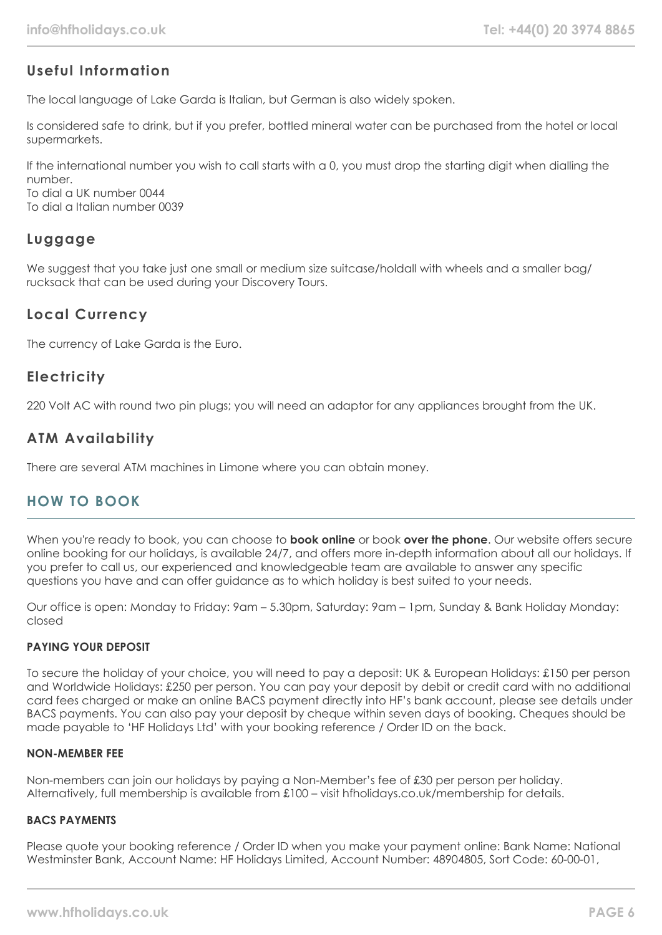# **Useful Information**

The local language of Lake Garda is Italian, but German is also widely spoken.

Is considered safe to drink, but if you prefer, bottled mineral water can be purchased from the hotel or local supermarkets.

If the international number you wish to call starts with a 0, you must drop the starting digit when dialling the number.

To dial a UK number 0044 To dial a Italian number 0039

# **Luggage**

We suggest that you take just one small or medium size suitcase/holdall with wheels and a smaller bag/ rucksack that can be used during your Discovery Tours.

# **Local Currency**

The currency of Lake Garda is the Euro.

# **Electricity**

220 Volt AC with round two pin plugs; you will need an adaptor for any appliances brought from the UK.

# **ATM Availability**

There are several ATM machines in Limone where you can obtain money.

# **HOW TO BOOK**

When you're ready to book, you can choose to **book online** or book **over the phone**. Our website offers secure online booking for our holidays, is available 24/7, and offers more in-depth information about all our holidays. If you prefer to call us, our experienced and knowledgeable team are available to answer any specific questions you have and can offer guidance as to which holiday is best suited to your needs.

Our office is open: Monday to Friday: 9am – 5.30pm, Saturday: 9am – 1pm, Sunday & Bank Holiday Monday: closed

#### **PAYING YOUR DEPOSIT**

To secure the holiday of your choice, you will need to pay a deposit: UK & European Holidays: £150 per person and Worldwide Holidays: £250 per person. You can pay your deposit by debit or credit card with no additional card fees charged or make an online BACS payment directly into HF's bank account, please see details under BACS payments. You can also pay your deposit by cheque within seven days of booking. Cheques should be made payable to 'HF Holidays Ltd' with your booking reference / Order ID on the back.

#### **NON-MEMBER FEE**

Non-members can join our holidays by paying a Non-Member's fee of £30 per person per holiday. Alternatively, full membership is available from £100 – visit hfholidays.co.uk/membership for details.

#### **BACS PAYMENTS**

Please quote your booking reference / Order ID when you make your payment online: Bank Name: National Westminster Bank, Account Name: HF Holidays Limited, Account Number: 48904805, Sort Code: 60-00-01,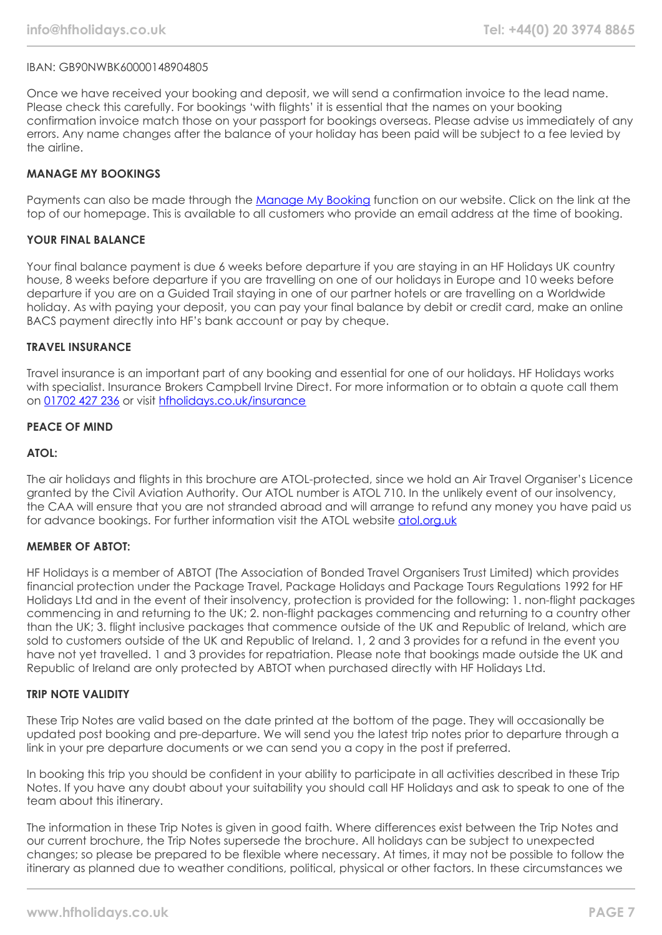#### IBAN: GB90NWBK60000148904805

Once we have received your booking and deposit, we will send a confirmation invoice to the lead name. Please check this carefully. For bookings 'with flights' it is essential that the names on your booking confirmation invoice match those on your passport for bookings overseas. Please advise us immediately of any errors. Any name changes after the balance of your holiday has been paid will be subject to a fee levied by the airline.

#### **MANAGE MY BOOKINGS**

Payments can also be made through the [Manage My Booking](https://www.hfholidays.co.uk/about-us/bookings/my-booking) function on our website. Click on the link at the top of our homepage. This is available to all customers who provide an email address at the time of booking.

#### **YOUR FINAL BALANCE**

Your final balance payment is due 6 weeks before departure if you are staying in an HF Holidays UK country house, 8 weeks before departure if you are travelling on one of our holidays in Europe and 10 weeks before departure if you are on a Guided Trail staying in one of our partner hotels or are travelling on a Worldwide holiday. As with paying your deposit, you can pay your final balance by debit or credit card, make an online BACS payment directly into HF's bank account or pay by cheque.

#### **TRAVEL INSURANCE**

Travel insurance is an important part of any booking and essential for one of our holidays. HF Holidays works with specialist. Insurance Brokers Campbell Irvine Direct. For more information or to obtain a quote call them on [01702 427 236](tel:01702427236) or visit [hfholidays.co.uk/insurance](https://www.hfholidays.co.uk/about-us/bookings/insurance)

#### **PEACE OF MIND**

#### **ATOL:**

The air holidays and flights in this brochure are ATOL-protected, since we hold an Air Travel Organiser's Licence granted by the Civil Aviation Authority. Our ATOL number is ATOL 710. In the unlikely event of our insolvency, the CAA will ensure that you are not stranded abroad and will arrange to refund any money you have paid us for advance bookings. For further information visit the ATOL website [atol.org.uk](https://www.atol.org/)

#### **MEMBER OF ABTOT:**

HF Holidays is a member of ABTOT (The Association of Bonded Travel Organisers Trust Limited) which provides financial protection under the Package Travel, Package Holidays and Package Tours Regulations 1992 for HF Holidays Ltd and in the event of their insolvency, protection is provided for the following: 1. non-flight packages commencing in and returning to the UK; 2. non-flight packages commencing and returning to a country other than the UK; 3. flight inclusive packages that commence outside of the UK and Republic of Ireland, which are sold to customers outside of the UK and Republic of Ireland. 1, 2 and 3 provides for a refund in the event you have not yet travelled. 1 and 3 provides for repatriation. Please note that bookings made outside the UK and Republic of Ireland are only protected by ABTOT when purchased directly with HF Holidays Ltd.

#### **TRIP NOTE VALIDITY**

These Trip Notes are valid based on the date printed at the bottom of the page. They will occasionally be updated post booking and pre-departure. We will send you the latest trip notes prior to departure through a link in your pre departure documents or we can send you a copy in the post if preferred.

In booking this trip you should be confident in your ability to participate in all activities described in these Trip Notes. If you have any doubt about your suitability you should call HF Holidays and ask to speak to one of the team about this itinerary.

The information in these Trip Notes is given in good faith. Where differences exist between the Trip Notes and our current brochure, the Trip Notes supersede the brochure. All holidays can be subject to unexpected changes; so please be prepared to be flexible where necessary. At times, it may not be possible to follow the itinerary as planned due to weather conditions, political, physical or other factors. In these circumstances we